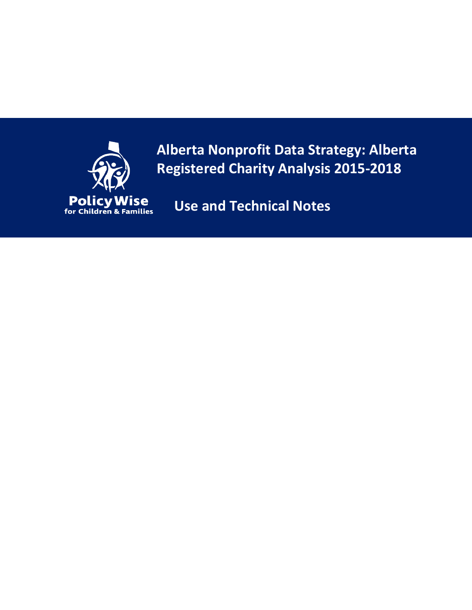

**Alberta Nonprofit Data Strategy: Alberta Registered Charity Analysis 2015-2018**

 **Use and Technical Notes**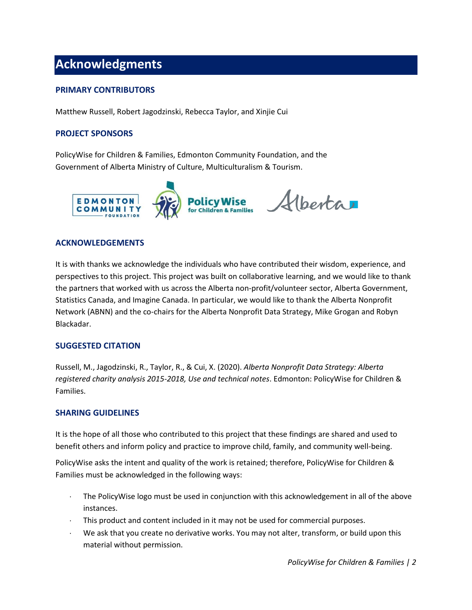# <span id="page-1-0"></span>**Acknowledgments**

#### **PRIMARY CONTRIBUTORS**

Matthew Russell, Robert Jagodzinski, Rebecca Taylor, and Xinjie Cui

#### **PROJECT SPONSORS**

PolicyWise for Children & Families, Edmonton Community Foundation, and the Government of Alberta Ministry of Culture, Multiculturalism & Tourism.



#### **ACKNOWLEDGEMENTS**

It is with thanks we acknowledge the individuals who have contributed their wisdom, experience, and perspectives to this project. This project was built on collaborative learning, and we would like to thank the partners that worked with us across the Alberta non-profit/volunteer sector, Alberta Government, Statistics Canada, and Imagine Canada. In particular, we would like to thank the Alberta Nonprofit Network (ABNN) and the co-chairs for the Alberta Nonprofit Data Strategy, Mike Grogan and Robyn Blackadar.

#### **SUGGESTED CITATION**

Russell, M., Jagodzinski, R., Taylor, R., & Cui, X. (2020). *Alberta Nonprofit Data Strategy: Alberta registered charity analysis 2015-2018, Use and technical notes*. Edmonton: PolicyWise for Children & Families.

#### **SHARING GUIDELINES**

It is the hope of all those who contributed to this project that these findings are shared and used to benefit others and inform policy and practice to improve child, family, and community well-being.

PolicyWise asks the intent and quality of the work is retained; therefore, PolicyWise for Children & Families must be acknowledged in the following ways:

- The PolicyWise logo must be used in conjunction with this acknowledgement in all of the above instances.
- This product and content included in it may not be used for commercial purposes.
- We ask that you create no derivative works. You may not alter, transform, or build upon this material without permission.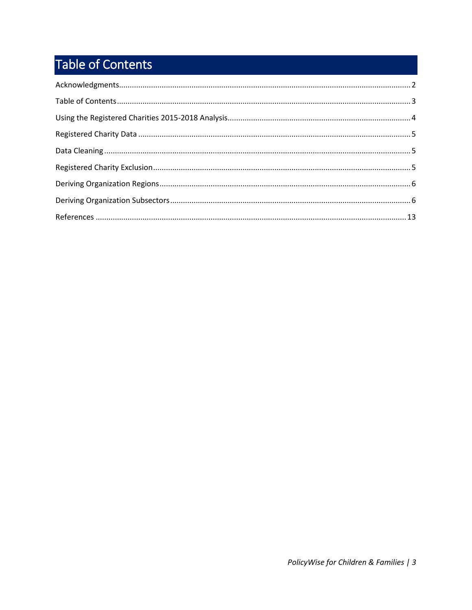# <span id="page-2-0"></span>Table of Contents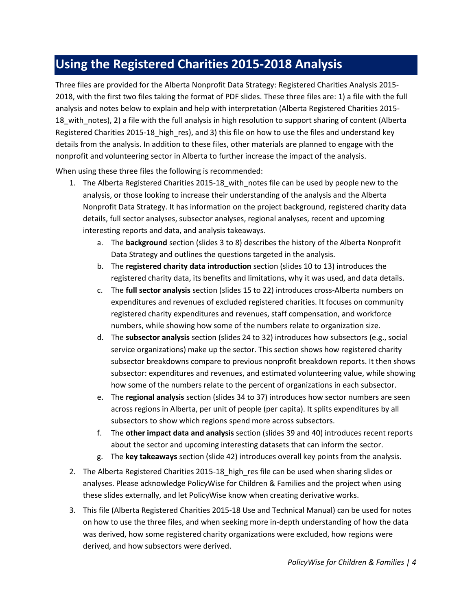# <span id="page-3-0"></span>**Using the Registered Charities 2015-2018 Analysis**

Three files are provided for the Alberta Nonprofit Data Strategy: Registered Charities Analysis 2015- 2018, with the first two files taking the format of PDF slides. These three files are: 1) a file with the full analysis and notes below to explain and help with interpretation (Alberta Registered Charities 2015- 18 with notes), 2) a file with the full analysis in high resolution to support sharing of content (Alberta Registered Charities 2015-18 high res), and 3) this file on how to use the files and understand key details from the analysis. In addition to these files, other materials are planned to engage with the nonprofit and volunteering sector in Alberta to further increase the impact of the analysis.

When using these three files the following is recommended:

- 1. The Alberta Registered Charities 2015-18 with notes file can be used by people new to the analysis, or those looking to increase their understanding of the analysis and the Alberta Nonprofit Data Strategy. It has information on the project background, registered charity data details, full sector analyses, subsector analyses, regional analyses, recent and upcoming interesting reports and data, and analysis takeaways.
	- a. The **background** section (slides 3 to 8) describes the history of the Alberta Nonprofit Data Strategy and outlines the questions targeted in the analysis.
	- b. The **registered charity data introduction** section (slides 10 to 13) introduces the registered charity data, its benefits and limitations, why it was used, and data details.
	- c. The **full sector analysis** section (slides 15 to 22) introduces cross-Alberta numbers on expenditures and revenues of excluded registered charities. It focuses on community registered charity expenditures and revenues, staff compensation, and workforce numbers, while showing how some of the numbers relate to organization size.
	- d. The **subsector analysis** section (slides 24 to 32) introduces how subsectors (e.g., social service organizations) make up the sector. This section shows how registered charity subsector breakdowns compare to previous nonprofit breakdown reports. It then shows subsector: expenditures and revenues, and estimated volunteering value, while showing how some of the numbers relate to the percent of organizations in each subsector.
	- e. The **regional analysis** section (slides 34 to 37) introduces how sector numbers are seen across regions in Alberta, per unit of people (per capita). It splits expenditures by all subsectors to show which regions spend more across subsectors.
	- f. The **other impact data and analysis** section (slides 39 and 40) introduces recent reports about the sector and upcoming interesting datasets that can inform the sector.
	- g. The **key takeaways** section (slide 42) introduces overall key points from the analysis.
- 2. The Alberta Registered Charities 2015-18 high res file can be used when sharing slides or analyses. Please acknowledge PolicyWise for Children & Families and the project when using these slides externally, and let PolicyWise know when creating derivative works.
- 3. This file (Alberta Registered Charities 2015-18 Use and Technical Manual) can be used for notes on how to use the three files, and when seeking more in-depth understanding of how the data was derived, how some registered charity organizations were excluded, how regions were derived, and how subsectors were derived.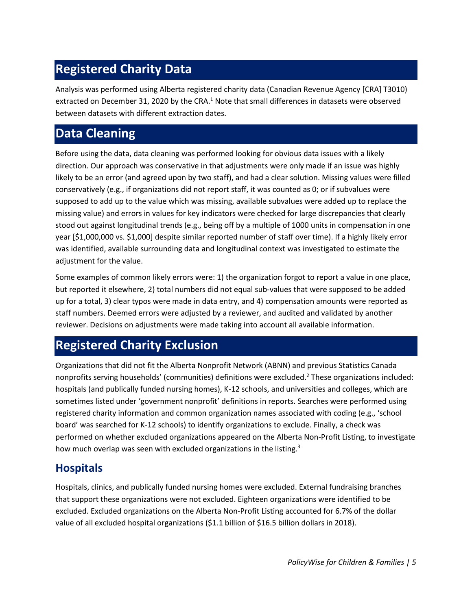# <span id="page-4-0"></span>**Registered Charity Data**

Analysis was performed using Alberta registered charity data (Canadian Revenue Agency [CRA] T3010) extracted on December 31, 2020 by the CRA.<sup>1</sup> Note that small differences in datasets were observed between datasets with different extraction dates.

# <span id="page-4-1"></span>**Data Cleaning**

Before using the data, data cleaning was performed looking for obvious data issues with a likely direction. Our approach was conservative in that adjustments were only made if an issue was highly likely to be an error (and agreed upon by two staff), and had a clear solution. Missing values were filled conservatively (e.g., if organizations did not report staff, it was counted as 0; or if subvalues were supposed to add up to the value which was missing, available subvalues were added up to replace the missing value) and errors in values for key indicators were checked for large discrepancies that clearly stood out against longitudinal trends (e.g., being off by a multiple of 1000 units in compensation in one year [\$1,000,000 vs. \$1,000] despite similar reported number of staff over time). If a highly likely error was identified, available surrounding data and longitudinal context was investigated to estimate the adjustment for the value.

Some examples of common likely errors were: 1) the organization forgot to report a value in one place, but reported it elsewhere, 2) total numbers did not equal sub-values that were supposed to be added up for a total, 3) clear typos were made in data entry, and 4) compensation amounts were reported as staff numbers. Deemed errors were adjusted by a reviewer, and audited and validated by another reviewer. Decisions on adjustments were made taking into account all available information.

# <span id="page-4-2"></span>**Registered Charity Exclusion**

Organizations that did not fit the Alberta Nonprofit Network (ABNN) and previous Statistics Canada nonprofits serving households' (communities) definitions were excluded. <sup>2</sup> These organizations included: hospitals (and publically funded nursing homes), K-12 schools, and universities and colleges, which are sometimes listed under 'government nonprofit' definitions in reports. Searches were performed using registered charity information and common organization names associated with coding (e.g., 'school board' was searched for K-12 schools) to identify organizations to exclude. Finally, a check was performed on whether excluded organizations appeared on the Alberta Non-Profit Listing, to investigate how much overlap was seen with excluded organizations in the listing.<sup>3</sup>

# **Hospitals**

Hospitals, clinics, and publically funded nursing homes were excluded. External fundraising branches that support these organizations were not excluded. Eighteen organizations were identified to be excluded. Excluded organizations on the Alberta Non-Profit Listing accounted for 6.7% of the dollar value of all excluded hospital organizations (\$1.1 billion of \$16.5 billion dollars in 2018).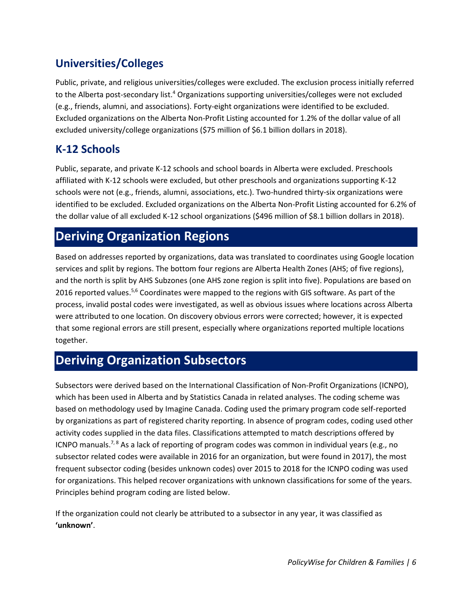# **Universities/Colleges**

Public, private, and religious universities/colleges were excluded. The exclusion process initially referred to the Alberta post-secondary list.<sup>4</sup> Organizations supporting universities/colleges were not excluded (e.g., friends, alumni, and associations). Forty-eight organizations were identified to be excluded. Excluded organizations on the Alberta Non-Profit Listing accounted for 1.2% of the dollar value of all excluded university/college organizations (\$75 million of \$6.1 billion dollars in 2018).

# **K-12 Schools**

Public, separate, and private K-12 schools and school boards in Alberta were excluded. Preschools affiliated with K-12 schools were excluded, but other preschools and organizations supporting K-12 schools were not (e.g., friends, alumni, associations, etc.). Two-hundred thirty-six organizations were identified to be excluded. Excluded organizations on the Alberta Non-Profit Listing accounted for 6.2% of the dollar value of all excluded K-12 school organizations (\$496 million of \$8.1 billion dollars in 2018).

# <span id="page-5-0"></span>**Deriving Organization Regions**

Based on addresses reported by organizations, data was translated to coordinates using Google location services and split by regions. The bottom four regions are Alberta Health Zones (AHS; of five regions), and the north is split by AHS Subzones (one AHS zone region is split into five). Populations are based on 2016 reported values.<sup>5,6</sup> Coordinates were mapped to the regions with GIS software. As part of the process, invalid postal codes were investigated, as well as obvious issues where locations across Alberta were attributed to one location. On discovery obvious errors were corrected; however, it is expected that some regional errors are still present, especially where organizations reported multiple locations together.

# <span id="page-5-1"></span>**Deriving Organization Subsectors**

Subsectors were derived based on the International Classification of Non-Profit Organizations (ICNPO), which has been used in Alberta and by Statistics Canada in related analyses. The coding scheme was based on methodology used by Imagine Canada. Coding used the primary program code self-reported by organizations as part of registered charity reporting. In absence of program codes, coding used other activity codes supplied in the data files. Classifications attempted to match descriptions offered by ICNPO manuals.<sup>7, 8</sup> As a lack of reporting of program codes was common in individual years (e.g., no subsector related codes were available in 2016 for an organization, but were found in 2017), the most frequent subsector coding (besides unknown codes) over 2015 to 2018 for the ICNPO coding was used for organizations. This helped recover organizations with unknown classifications for some of the years. Principles behind program coding are listed below.

If the organization could not clearly be attributed to a subsector in any year, it was classified as **'unknown'**.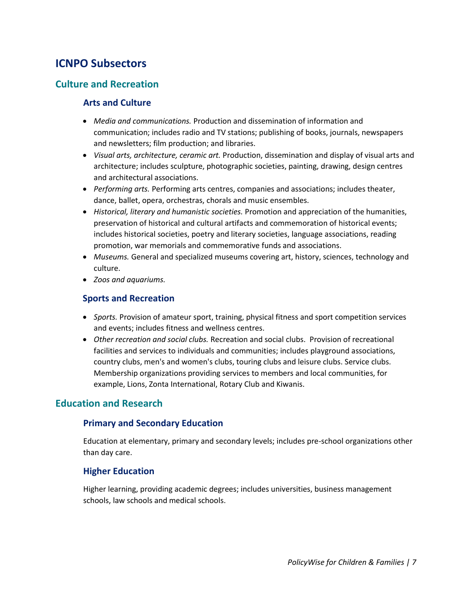# **ICNPO Subsectors**

## **Culture and Recreation**

#### **Arts and Culture**

- *Media and communications.* Production and dissemination of information and communication; includes radio and TV stations; publishing of books, journals, newspapers and newsletters; film production; and libraries.
- *Visual arts, architecture, ceramic art.* Production, dissemination and display of visual arts and architecture; includes sculpture, photographic societies, painting, drawing, design centres and architectural associations.
- *Performing arts.* Performing arts centres, companies and associations; includes theater, dance, ballet, opera, orchestras, chorals and music ensembles.
- *Historical, literary and humanistic societies.* Promotion and appreciation of the humanities, preservation of historical and cultural artifacts and commemoration of historical events; includes historical societies, poetry and literary societies, language associations, reading promotion, war memorials and commemorative funds and associations.
- *Museums.* General and specialized museums covering art, history, sciences, technology and culture.
- *Zoos and aquariums.*

#### **Sports and Recreation**

- *Sports.* Provision of amateur sport, training, physical fitness and sport competition services and events; includes fitness and wellness centres.
- *Other recreation and social clubs.* Recreation and social clubs. Provision of recreational facilities and services to individuals and communities; includes playground associations, country clubs, men's and women's clubs, touring clubs and leisure clubs. Service clubs. Membership organizations providing services to members and local communities, for example, Lions, Zonta International, Rotary Club and Kiwanis.

### **Education and Research**

#### **Primary and Secondary Education**

Education at elementary, primary and secondary levels; includes pre-school organizations other than day care.

#### **Higher Education**

Higher learning, providing academic degrees; includes universities, business management schools, law schools and medical schools.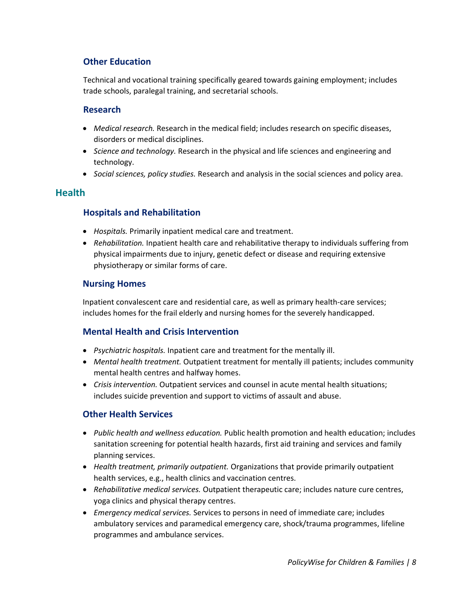## **Other Education**

Technical and vocational training specifically geared towards gaining employment; includes trade schools, paralegal training, and secretarial schools.

#### **Research**

- *Medical research.* Research in the medical field; includes research on specific diseases, disorders or medical disciplines.
- *Science and technology.* Research in the physical and life sciences and engineering and technology.
- *Social sciences, policy studies.* Research and analysis in the social sciences and policy area.

#### **Health**

#### **Hospitals and Rehabilitation**

- *Hospitals.* Primarily inpatient medical care and treatment.
- *Rehabilitation.* Inpatient health care and rehabilitative therapy to individuals suffering from physical impairments due to injury, genetic defect or disease and requiring extensive physiotherapy or similar forms of care.

#### **Nursing Homes**

Inpatient convalescent care and residential care, as well as primary health-care services; includes homes for the frail elderly and nursing homes for the severely handicapped.

#### **Mental Health and Crisis Intervention**

- *Psychiatric hospitals.* Inpatient care and treatment for the mentally ill.
- *Mental health treatment.* Outpatient treatment for mentally ill patients; includes community mental health centres and halfway homes.
- *Crisis intervention.* Outpatient services and counsel in acute mental health situations; includes suicide prevention and support to victims of assault and abuse.

#### **Other Health Services**

- *Public health and wellness education.* Public health promotion and health education; includes sanitation screening for potential health hazards, first aid training and services and family planning services.
- *Health treatment, primarily outpatient.* Organizations that provide primarily outpatient health services, e.g., health clinics and vaccination centres.
- *Rehabilitative medical services.* Outpatient therapeutic care; includes nature cure centres, yoga clinics and physical therapy centres.
- *Emergency medical services.* Services to persons in need of immediate care; includes ambulatory services and paramedical emergency care, shock/trauma programmes, lifeline programmes and ambulance services.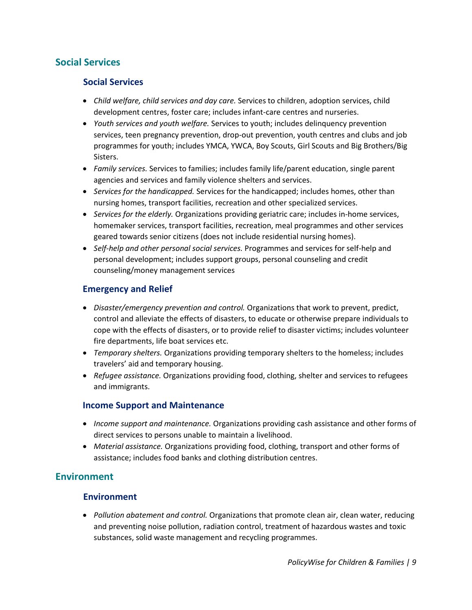## **Social Services**

#### **Social Services**

- *Child welfare, child services and day care.* Services to children, adoption services, child development centres, foster care; includes infant-care centres and nurseries.
- *Youth services and youth welfare.* Services to youth; includes delinquency prevention services, teen pregnancy prevention, drop-out prevention, youth centres and clubs and job programmes for youth; includes YMCA, YWCA, Boy Scouts, Girl Scouts and Big Brothers/Big Sisters.
- *Family services.* Services to families; includes family life/parent education, single parent agencies and services and family violence shelters and services.
- *Services for the handicapped.* Services for the handicapped; includes homes, other than nursing homes, transport facilities, recreation and other specialized services.
- *Services for the elderly.* Organizations providing geriatric care; includes in-home services, homemaker services, transport facilities, recreation, meal programmes and other services geared towards senior citizens (does not include residential nursing homes).
- *Self-help and other personal social services.* Programmes and services for self-help and personal development; includes support groups, personal counseling and credit counseling/money management services

#### **Emergency and Relief**

- *Disaster/emergency prevention and control.* Organizations that work to prevent, predict, control and alleviate the effects of disasters, to educate or otherwise prepare individuals to cope with the effects of disasters, or to provide relief to disaster victims; includes volunteer fire departments, life boat services etc.
- *Temporary shelters.* Organizations providing temporary shelters to the homeless; includes travelers' aid and temporary housing.
- *Refugee assistance.* Organizations providing food, clothing, shelter and services to refugees and immigrants.

#### **Income Support and Maintenance**

- *Income support and maintenance.* Organizations providing cash assistance and other forms of direct services to persons unable to maintain a livelihood.
- *Material assistance.* Organizations providing food, clothing, transport and other forms of assistance; includes food banks and clothing distribution centres.

### **Environment**

#### **Environment**

 *Pollution abatement and control.* Organizations that promote clean air, clean water, reducing and preventing noise pollution, radiation control, treatment of hazardous wastes and toxic substances, solid waste management and recycling programmes.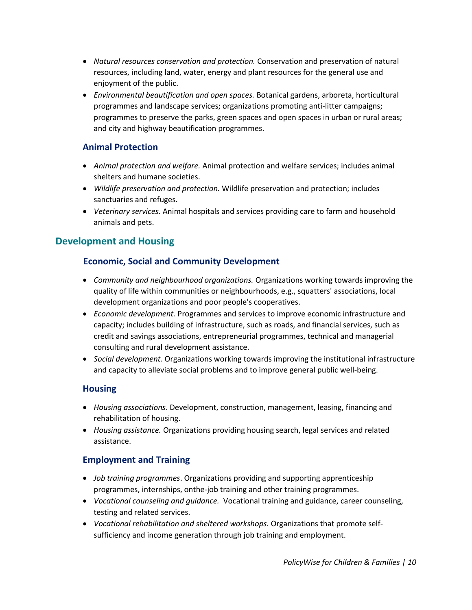- *Natural resources conservation and protection.* Conservation and preservation of natural resources, including land, water, energy and plant resources for the general use and enjoyment of the public.
- *Environmental beautification and open spaces.* Botanical gardens, arboreta, horticultural programmes and landscape services; organizations promoting anti-litter campaigns; programmes to preserve the parks, green spaces and open spaces in urban or rural areas; and city and highway beautification programmes.

### **Animal Protection**

- *Animal protection and welfare.* Animal protection and welfare services; includes animal shelters and humane societies.
- *Wildlife preservation and protection.* Wildlife preservation and protection; includes sanctuaries and refuges.
- *Veterinary services.* Animal hospitals and services providing care to farm and household animals and pets.

## **Development and Housing**

### **Economic, Social and Community Development**

- *Community and neighbourhood organizations.* Organizations working towards improving the quality of life within communities or neighbourhoods, e.g., squatters' associations, local development organizations and poor people's cooperatives.
- *Economic development.* Programmes and services to improve economic infrastructure and capacity; includes building of infrastructure, such as roads, and financial services, such as credit and savings associations, entrepreneurial programmes, technical and managerial consulting and rural development assistance.
- *Social development.* Organizations working towards improving the institutional infrastructure and capacity to alleviate social problems and to improve general public well-being.

### **Housing**

- *Housing associations*. Development, construction, management, leasing, financing and rehabilitation of housing.
- *Housing assistance.* Organizations providing housing search, legal services and related assistance.

### **Employment and Training**

- *Job training programmes*. Organizations providing and supporting apprenticeship programmes, internships, onthe-job training and other training programmes.
- *Vocational counseling and guidance.* Vocational training and guidance, career counseling, testing and related services.
- *Vocational rehabilitation and sheltered workshops.* Organizations that promote selfsufficiency and income generation through job training and employment.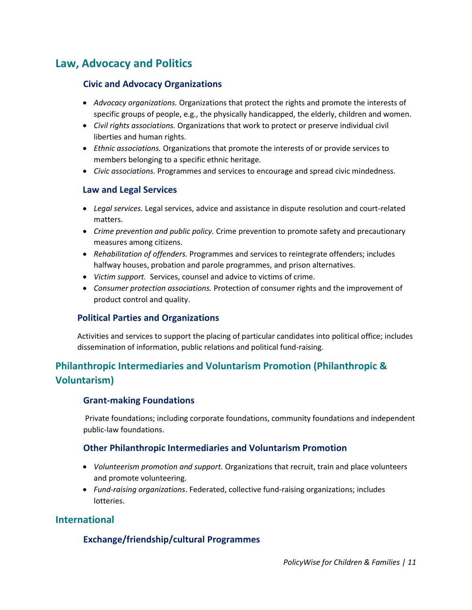# **Law, Advocacy and Politics**

### **Civic and Advocacy Organizations**

- *Advocacy organizations.* Organizations that protect the rights and promote the interests of specific groups of people, e.g., the physically handicapped, the elderly, children and women.
- *Civil rights associations.* Organizations that work to protect or preserve individual civil liberties and human rights.
- *Ethnic associations.* Organizations that promote the interests of or provide services to members belonging to a specific ethnic heritage.
- *Civic associations.* Programmes and services to encourage and spread civic mindedness.

#### **Law and Legal Services**

- *Legal services.* Legal services, advice and assistance in dispute resolution and court-related matters.
- *Crime prevention and public policy.* Crime prevention to promote safety and precautionary measures among citizens.
- *Rehabilitation of offenders.* Programmes and services to reintegrate offenders; includes halfway houses, probation and parole programmes, and prison alternatives.
- *Victim support.* Services, counsel and advice to victims of crime.
- *Consumer protection associations.* Protection of consumer rights and the improvement of product control and quality.

#### **Political Parties and Organizations**

Activities and services to support the placing of particular candidates into political office; includes dissemination of information, public relations and political fund-raising.

# **Philanthropic Intermediaries and Voluntarism Promotion (Philanthropic & Voluntarism)**

#### **Grant-making Foundations**

Private foundations; including corporate foundations, community foundations and independent public-law foundations.

#### **Other Philanthropic Intermediaries and Voluntarism Promotion**

- *Volunteerism promotion and support.* Organizations that recruit, train and place volunteers and promote volunteering.
- *Fund-raising organizations*. Federated, collective fund-raising organizations; includes lotteries.

### **International**

### **Exchange/friendship/cultural Programmes**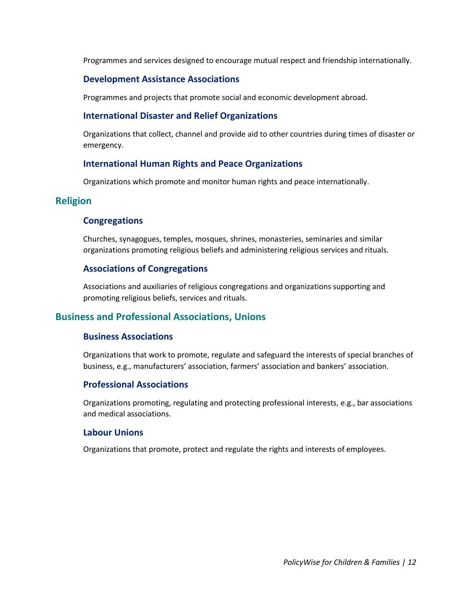Programmes and services designed to encourage mutual respect and friendship internationally.

#### **Development Assistance Associations**

Programmes and projects that promote social and economic development abroad.

#### **International Disaster and Relief Organizations**

Organizations that collect, channel and provide aid to other countries during times of disaster or emergency.

#### **International Human Rights and Peace Organizations**

Organizations which promote and monitor human rights and peace internationally.

## **Religion**

#### **Congregations**

Churches, synagogues, temples, mosques, shrines, monasteries, seminaries and similar organizations promoting religious beliefs and administering religious services and rituals.

#### **Associations of Congregations**

Associations and auxiliaries of religious congregations and organizations supporting and promoting religious beliefs, services and rituals.

## **Business and Professional Associations, Unions**

#### **Business Associations**

Organizations that work to promote, regulate and safeguard the interests of special branches of business, e.g., manufacturers' association, farmers' association and bankers' association.

#### **Professional Associations**

Organizations promoting, regulating and protecting professional interests, e.g., bar associations and medical associations.

#### **Labour Unions**

Organizations that promote, protect and regulate the rights and interests of employees.